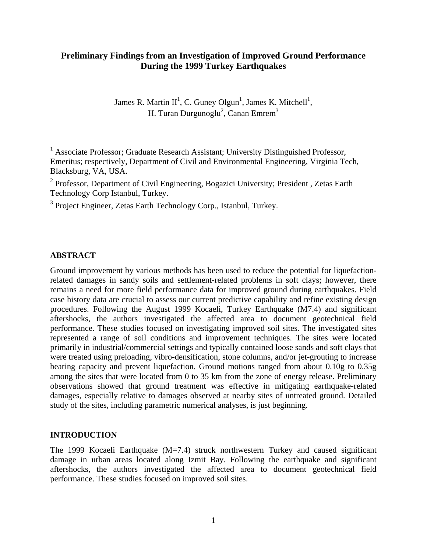# **Preliminary Findings from an Investigation of Improved Ground Performance During the 1999 Turkey Earthquakes**

James R. Martin II<sup>1</sup>, C. Guney Olgun<sup>1</sup>, James K. Mitchell<sup>1</sup>, H. Turan Durgunoglu $^2$ , Canan Emrem $^3$ 

<sup>1</sup> Associate Professor; Graduate Research Assistant; University Distinguished Professor, Emeritus; respectively, Department of Civil and Environmental Engineering, Virginia Tech, Blacksburg, VA, USA.

<sup>2</sup> Professor, Department of Civil Engineering, Bogazici University; President, Zetas Earth Technology Corp Istanbul, Turkey.

<sup>3</sup> Project Engineer, Zetas Earth Technology Corp., Istanbul, Turkey.

### **ABSTRACT**

Ground improvement by various methods has been used to reduce the potential for liquefactionrelated damages in sandy soils and settlement-related problems in soft clays; however, there remains a need for more field performance data for improved ground during earthquakes. Field case history data are crucial to assess our current predictive capability and refine existing design procedures. Following the August 1999 Kocaeli, Turkey Earthquake (M7.4) and significant aftershocks, the authors investigated the affected area to document geotechnical field performance. These studies focused on investigating improved soil sites. The investigated sites represented a range of soil conditions and improvement techniques. The sites were located primarily in industrial/commercial settings and typically contained loose sands and soft clays that were treated using preloading, vibro-densification, stone columns, and/or jet-grouting to increase bearing capacity and prevent liquefaction. Ground motions ranged from about 0.10g to 0.35g among the sites that were located from 0 to 35 km from the zone of energy release. Preliminary observations showed that ground treatment was effective in mitigating earthquake-related damages, especially relative to damages observed at nearby sites of untreated ground. Detailed study of the sites, including parametric numerical analyses, is just beginning.

### **INTRODUCTION**

The 1999 Kocaeli Earthquake (M=7.4) struck northwestern Turkey and caused significant damage in urban areas located along Izmit Bay. Following the earthquake and significant aftershocks, the authors investigated the affected area to document geotechnical field performance. These studies focused on improved soil sites.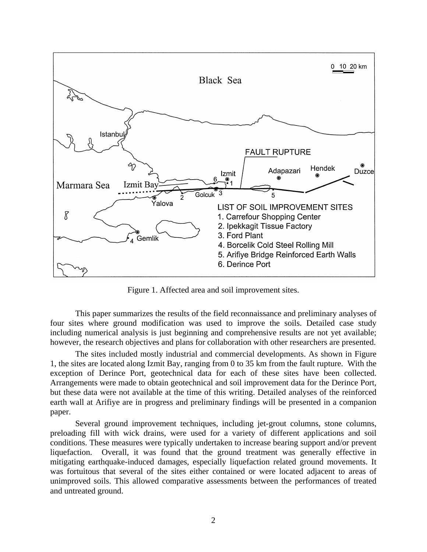

Figure 1. Affected area and soil improvement sites.

This paper summarizes the results of the field reconnaissance and preliminary analyses of four sites where ground modification was used to improve the soils. Detailed case study including numerical analysis is just beginning and comprehensive results are not yet available; however, the research objectives and plans for collaboration with other researchers are presented.

The sites included mostly industrial and commercial developments. As shown in Figure 1, the sites are located along Izmit Bay, ranging from 0 to 35 km from the fault rupture. With the exception of Derince Port, geotechnical data for each of these sites have been collected. Arrangements were made to obtain geotechnical and soil improvement data for the Derince Port, but these data were not available at the time of this writing. Detailed analyses of the reinforced earth wall at Arifiye are in progress and preliminary findings will be presented in a companion paper.

Several ground improvement techniques, including jet-grout columns, stone columns, preloading fill with wick drains, were used for a variety of different applications and soil conditions. These measures were typically undertaken to increase bearing support and/or prevent liquefaction. Overall, it was found that the ground treatment was generally effective in mitigating earthquake-induced damages, especially liquefaction related ground movements. It was fortuitous that several of the sites either contained or were located adjacent to areas of unimproved soils. This allowed comparative assessments between the performances of treated and untreated ground.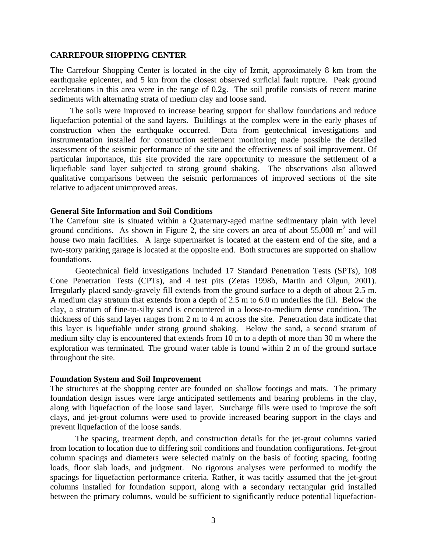#### **CARREFOUR SHOPPING CENTER**

The Carrefour Shopping Center is located in the city of Izmit, approximately 8 km from the earthquake epicenter, and 5 km from the closest observed surficial fault rupture. Peak ground accelerations in this area were in the range of 0.2g. The soil profile consists of recent marine sediments with alternating strata of medium clay and loose sand.

The soils were improved to increase bearing support for shallow foundations and reduce liquefaction potential of the sand layers. Buildings at the complex were in the early phases of construction when the earthquake occurred. Data from geotechnical investigations and instrumentation installed for construction settlement monitoring made possible the detailed assessment of the seismic performance of the site and the effectiveness of soil improvement. Of particular importance, this site provided the rare opportunity to measure the settlement of a liquefiable sand layer subjected to strong ground shaking. The observations also allowed qualitative comparisons between the seismic performances of improved sections of the site relative to adjacent unimproved areas.

#### **General Site Information and Soil Conditions**

The Carrefour site is situated within a Quaternary-aged marine sedimentary plain with level ground conditions. As shown in Figure 2, the site covers an area of about  $55,000 \text{ m}^2$  and will house two main facilities. A large supermarket is located at the eastern end of the site, and a two-story parking garage is located at the opposite end. Both structures are supported on shallow foundations.

Geotechnical field investigations included 17 Standard Penetration Tests (SPTs), 108 Cone Penetration Tests (CPTs), and 4 test pits (Zetas 1998b, Martin and Olgun, 2001). Irregularly placed sandy-gravely fill extends from the ground surface to a depth of about 2.5 m. A medium clay stratum that extends from a depth of 2.5 m to 6.0 m underlies the fill. Below the clay, a stratum of fine-to-silty sand is encountered in a loose-to-medium dense condition. The thickness of this sand layer ranges from 2 m to 4 m across the site. Penetration data indicate that this layer is liquefiable under strong ground shaking. Below the sand, a second stratum of medium silty clay is encountered that extends from 10 m to a depth of more than 30 m where the exploration was terminated. The ground water table is found within 2 m of the ground surface throughout the site.

#### **Foundation System and Soil Improvement**

The structures at the shopping center are founded on shallow footings and mats. The primary foundation design issues were large anticipated settlements and bearing problems in the clay, along with liquefaction of the loose sand layer. Surcharge fills were used to improve the soft clays, and jet-grout columns were used to provide increased bearing support in the clays and prevent liquefaction of the loose sands.

The spacing, treatment depth, and construction details for the jet-grout columns varied from location to location due to differing soil conditions and foundation configurations. Jet-grout column spacings and diameters were selected mainly on the basis of footing spacing, footing loads, floor slab loads, and judgment. No rigorous analyses were performed to modify the spacings for liquefaction performance criteria. Rather, it was tacitly assumed that the jet-grout columns installed for foundation support, along with a secondary rectangular grid installed between the primary columns, would be sufficient to significantly reduce potential liquefaction-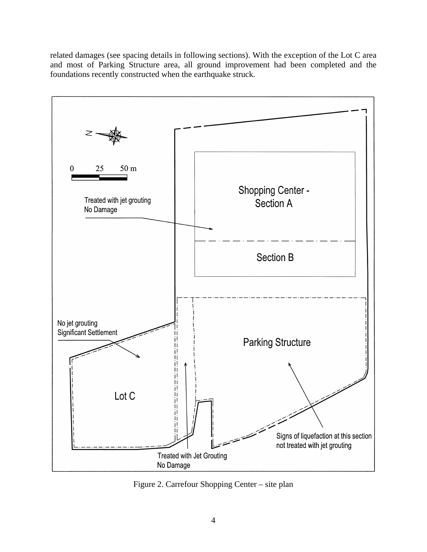related damages (see spacing details in following sections). With the exception of the Lot C area and most of Parking Structure area, all ground improvement had been completed and the foundations recently constructed when the earthquake struck.



Figure 2. Carrefour Shopping Center – site plan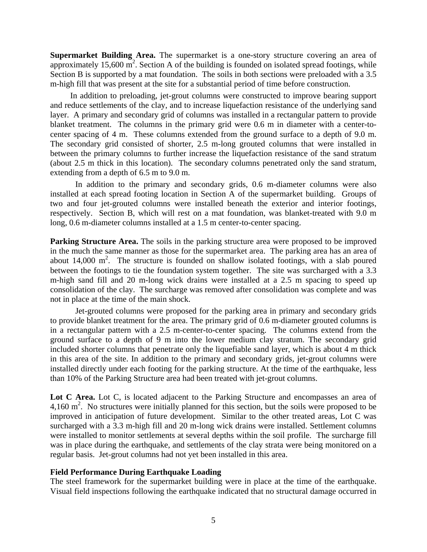**Supermarket Building Area.** The supermarket is a one-story structure covering an area of approximately  $15,600 \text{ m}^2$ . Section A of the building is founded on isolated spread footings, while Section B is supported by a mat foundation. The soils in both sections were preloaded with a 3.5 m-high fill that was present at the site for a substantial period of time before construction.

In addition to preloading, jet-grout columns were constructed to improve bearing support and reduce settlements of the clay, and to increase liquefaction resistance of the underlying sand layer. A primary and secondary grid of columns was installed in a rectangular pattern to provide blanket treatment. The columns in the primary grid were 0.6 m in diameter with a center-tocenter spacing of 4 m. These columns extended from the ground surface to a depth of 9.0 m. The secondary grid consisted of shorter, 2.5 m-long grouted columns that were installed in between the primary columns to further increase the liquefaction resistance of the sand stratum (about 2.5 m thick in this location). The secondary columns penetrated only the sand stratum, extending from a depth of 6.5 m to 9.0 m.

In addition to the primary and secondary grids, 0.6 m-diameter columns were also installed at each spread footing location in Section A of the supermarket building. Groups of two and four jet-grouted columns were installed beneath the exterior and interior footings, respectively. Section B, which will rest on a mat foundation, was blanket-treated with 9.0 m long, 0.6 m-diameter columns installed at a 1.5 m center-to-center spacing.

**Parking Structure Area.** The soils in the parking structure area were proposed to be improved in the much the same manner as those for the supermarket area. The parking area has an area of about 14,000  $m^2$ . The structure is founded on shallow isolated footings, with a slab poured between the footings to tie the foundation system together. The site was surcharged with a 3.3 m-high sand fill and 20 m-long wick drains were installed at a 2.5 m spacing to speed up consolidation of the clay. The surcharge was removed after consolidation was complete and was not in place at the time of the main shock.

Jet-grouted columns were proposed for the parking area in primary and secondary grids to provide blanket treatment for the area. The primary grid of 0.6 m-diameter grouted columns is in a rectangular pattern with a 2.5 m-center-to-center spacing. The columns extend from the ground surface to a depth of 9 m into the lower medium clay stratum. The secondary grid included shorter columns that penetrate only the liquefiable sand layer, which is about 4 m thick in this area of the site. In addition to the primary and secondary grids, jet-grout columns were installed directly under each footing for the parking structure. At the time of the earthquake, less than 10% of the Parking Structure area had been treated with jet-grout columns.

Lot C Area. Lot C, is located adjacent to the Parking Structure and encompasses an area of 4,160  $\text{m}^2$ . No structures were initially planned for this section, but the soils were proposed to be improved in anticipation of future development. Similar to the other treated areas, Lot C was surcharged with a 3.3 m-high fill and 20 m-long wick drains were installed. Settlement columns were installed to monitor settlements at several depths within the soil profile. The surcharge fill was in place during the earthquake, and settlements of the clay strata were being monitored on a regular basis. Jet-grout columns had not yet been installed in this area.

### **Field Performance During Earthquake Loading**

The steel framework for the supermarket building were in place at the time of the earthquake. Visual field inspections following the earthquake indicated that no structural damage occurred in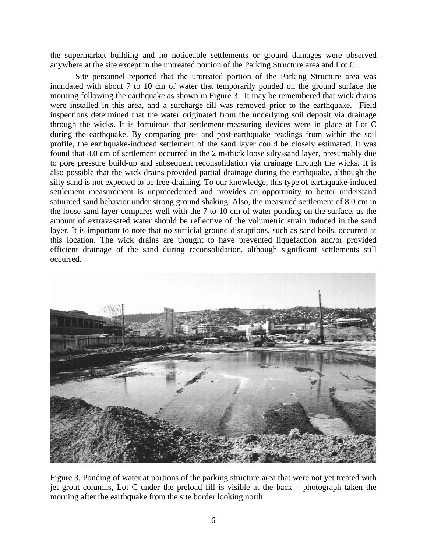the supermarket building and no noticeable settlements or ground damages were observed anywhere at the site except in the untreated portion of the Parking Structure area and Lot C.

Site personnel reported that the untreated portion of the Parking Structure area was inundated with about 7 to 10 cm of water that temporarily ponded on the ground surface the morning following the earthquake as shown in Figure 3. It may be remembered that wick drains were installed in this area, and a surcharge fill was removed prior to the earthquake. Field inspections determined that the water originated from the underlying soil deposit via drainage through the wicks. It is fortuitous that settlement-measuring devices were in place at Lot C during the earthquake. By comparing pre- and post-earthquake readings from within the soil profile, the earthquake-induced settlement of the sand layer could be closely estimated. It was found that 8.0 cm of settlement occurred in the 2 m-thick loose silty-sand layer, presumably due to pore pressure build-up and subsequent reconsolidation via drainage through the wicks. It is also possible that the wick drains provided partial drainage during the earthquake, although the silty sand is not expected to be free-draining. To our knowledge, this type of earthquake-induced settlement measurement is unprecedented and provides an opportunity to better understand saturated sand behavior under strong ground shaking. Also, the measured settlement of 8.0 cm in the loose sand layer compares well with the 7 to 10 cm of water ponding on the surface, as the amount of extravasated water should be reflective of the volumetric strain induced in the sand layer. It is important to note that no surficial ground disruptions, such as sand boils, occurred at this location. The wick drains are thought to have prevented liquefaction and/or provided efficient drainage of the sand during reconsolidation, although significant settlements still occurred.



Figure 3. Ponding of water at portions of the parking structure area that were not yet treated with jet grout columns, Lot C under the preload fill is visible at the back – photograph taken the morning after the earthquake from the site border looking north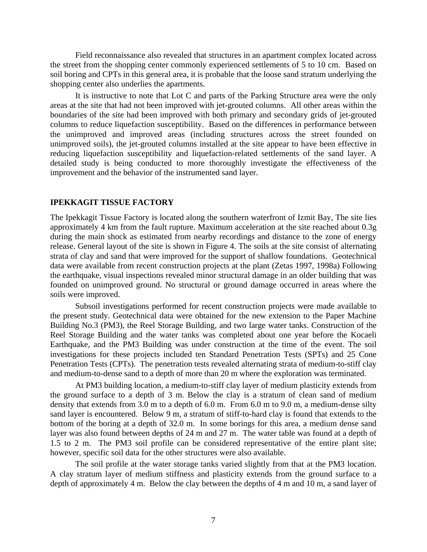Field reconnaissance also revealed that structures in an apartment complex located across the street from the shopping center commonly experienced settlements of 5 to 10 cm. Based on soil boring and CPTs in this general area, it is probable that the loose sand stratum underlying the shopping center also underlies the apartments.

It is instructive to note that Lot C and parts of the Parking Structure area were the only areas at the site that had not been improved with jet-grouted columns. All other areas within the boundaries of the site had been improved with both primary and secondary grids of jet-grouted columns to reduce liquefaction susceptibility. Based on the differences in performance between the unimproved and improved areas (including structures across the street founded on unimproved soils), the jet-grouted columns installed at the site appear to have been effective in reducing liquefaction susceptibility and liquefaction-related settlements of the sand layer. A detailed study is being conducted to more thoroughly investigate the effectiveness of the improvement and the behavior of the instrumented sand layer.

#### **IPEKKAGIT TISSUE FACTORY**

The Ipekkagit Tissue Factory is located along the southern waterfront of Izmit Bay, The site lies approximately 4 km from the fault rupture. Maximum acceleration at the site reached about 0.3g during the main shock as estimated from nearby recordings and distance to the zone of energy release. General layout of the site is shown in Figure 4. The soils at the site consist of alternating strata of clay and sand that were improved for the support of shallow foundations. Geotechnical data were available from recent construction projects at the plant (Zetas 1997, 1998a) Following the earthquake, visual inspections revealed minor structural damage in an older building that was founded on unimproved ground. No structural or ground damage occurred in areas where the soils were improved.

Subsoil investigations performed for recent construction projects were made available to the present study. Geotechnical data were obtained for the new extension to the Paper Machine Building No.3 (PM3), the Reel Storage Building, and two large water tanks. Construction of the Reel Storage Building and the water tanks was completed about one year before the Kocaeli Earthquake, and the PM3 Building was under construction at the time of the event. The soil investigations for these projects included ten Standard Penetration Tests (SPTs) and 25 Cone Penetration Tests (CPTs). The penetration tests revealed alternating strata of medium-to-stiff clay and medium-to-dense sand to a depth of more than 20 m where the exploration was terminated.

At PM3 building location, a medium-to-stiff clay layer of medium plasticity extends from the ground surface to a depth of 3 m. Below the clay is a stratum of clean sand of medium density that extends from 3.0 m to a depth of 6.0 m. From 6.0 m to 9.0 m, a medium-dense silty sand layer is encountered. Below 9 m, a stratum of stiff-to-hard clay is found that extends to the bottom of the boring at a depth of 32.0 m. In some borings for this area, a medium dense sand layer was also found between depths of 24 m and 27 m. The water table was found at a depth of 1.5 to 2 m. The PM3 soil profile can be considered representative of the entire plant site; however, specific soil data for the other structures were also available.

The soil profile at the water storage tanks varied slightly from that at the PM3 location. A clay stratum layer of medium stiffness and plasticity extends from the ground surface to a depth of approximately 4 m. Below the clay between the depths of 4 m and 10 m, a sand layer of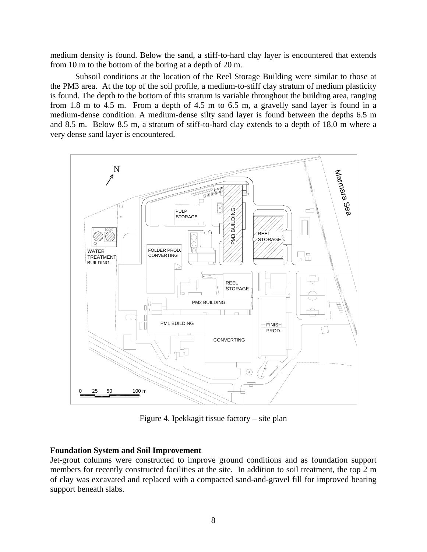medium density is found. Below the sand, a stiff-to-hard clay layer is encountered that extends from 10 m to the bottom of the boring at a depth of 20 m.

Subsoil conditions at the location of the Reel Storage Building were similar to those at the PM3 area. At the top of the soil profile, a medium-to-stiff clay stratum of medium plasticity is found. The depth to the bottom of this stratum is variable throughout the building area, ranging from 1.8 m to 4.5 m. From a depth of 4.5 m to 6.5 m, a gravelly sand layer is found in a medium-dense condition. A medium-dense silty sand layer is found between the depths 6.5 m and 8.5 m. Below 8.5 m, a stratum of stiff-to-hard clay extends to a depth of 18.0 m where a very dense sand layer is encountered.



Figure 4. Ipekkagit tissue factory – site plan

# **Foundation System and Soil Improvement**

Jet-grout columns were constructed to improve ground conditions and as foundation support members for recently constructed facilities at the site. In addition to soil treatment, the top 2 m of clay was excavated and replaced with a compacted sand-and-gravel fill for improved bearing support beneath slabs.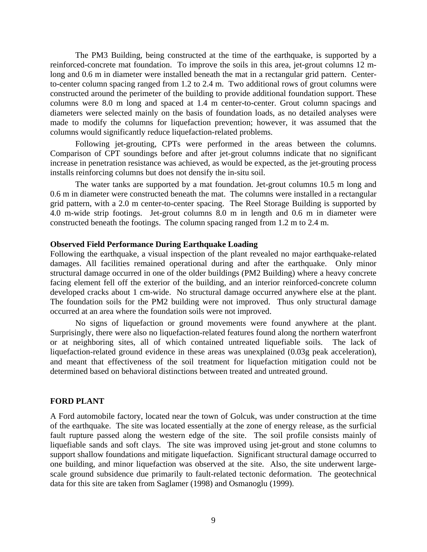The PM3 Building, being constructed at the time of the earthquake, is supported by a reinforced-concrete mat foundation. To improve the soils in this area, jet-grout columns 12 mlong and 0.6 m in diameter were installed beneath the mat in a rectangular grid pattern. Centerto-center column spacing ranged from 1.2 to 2.4 m. Two additional rows of grout columns were constructed around the perimeter of the building to provide additional foundation support. These columns were 8.0 m long and spaced at 1.4 m center-to-center. Grout column spacings and diameters were selected mainly on the basis of foundation loads, as no detailed analyses were made to modify the columns for liquefaction prevention; however, it was assumed that the columns would significantly reduce liquefaction-related problems.

Following jet-grouting, CPTs were performed in the areas between the columns. Comparison of CPT soundings before and after jet-grout columns indicate that no significant increase in penetration resistance was achieved, as would be expected, as the jet-grouting process installs reinforcing columns but does not densify the in-situ soil.

The water tanks are supported by a mat foundation. Jet-grout columns 10.5 m long and 0.6 m in diameter were constructed beneath the mat. The columns were installed in a rectangular grid pattern, with a 2.0 m center-to-center spacing. The Reel Storage Building is supported by 4.0 m-wide strip footings. Jet-grout columns 8.0 m in length and 0.6 m in diameter were constructed beneath the footings. The column spacing ranged from 1.2 m to 2.4 m.

#### **Observed Field Performance During Earthquake Loading**

Following the earthquake, a visual inspection of the plant revealed no major earthquake-related damages. All facilities remained operational during and after the earthquake. Only minor structural damage occurred in one of the older buildings (PM2 Building) where a heavy concrete facing element fell off the exterior of the building, and an interior reinforced-concrete column developed cracks about 1 cm-wide. No structural damage occurred anywhere else at the plant. The foundation soils for the PM2 building were not improved. Thus only structural damage occurred at an area where the foundation soils were not improved.

No signs of liquefaction or ground movements were found anywhere at the plant. Surprisingly, there were also no liquefaction-related features found along the northern waterfront or at neighboring sites, all of which contained untreated liquefiable soils. The lack of liquefaction-related ground evidence in these areas was unexplained (0.03g peak acceleration), and meant that effectiveness of the soil treatment for liquefaction mitigation could not be determined based on behavioral distinctions between treated and untreated ground.

#### **FORD PLANT**

A Ford automobile factory, located near the town of Golcuk, was under construction at the time of the earthquake. The site was located essentially at the zone of energy release, as the surficial fault rupture passed along the western edge of the site. The soil profile consists mainly of liquefiable sands and soft clays. The site was improved using jet-grout and stone columns to support shallow foundations and mitigate liquefaction. Significant structural damage occurred to one building, and minor liquefaction was observed at the site. Also, the site underwent largescale ground subsidence due primarily to fault-related tectonic deformation. The geotechnical data for this site are taken from Saglamer (1998) and Osmanoglu (1999).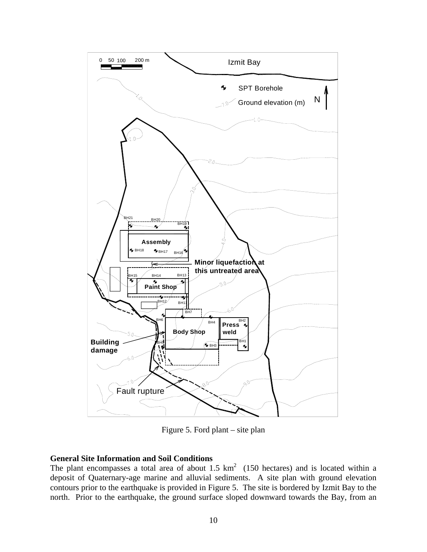

Figure 5. Ford plant – site plan

# **General Site Information and Soil Conditions**

The plant encompasses a total area of about 1.5  $km^2$  (150 hectares) and is located within a deposit of Quaternary-age marine and alluvial sediments. A site plan with ground elevation contours prior to the earthquake is provided in Figure 5. The site is bordered by Izmit Bay to the north. Prior to the earthquake, the ground surface sloped downward towards the Bay, from an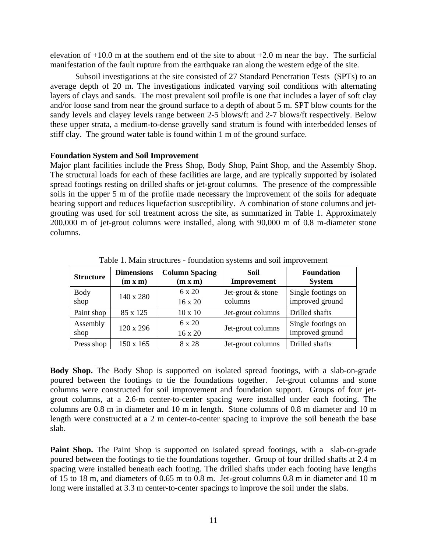elevation of  $+10.0$  m at the southern end of the site to about  $+2.0$  m near the bay. The surficial manifestation of the fault rupture from the earthquake ran along the western edge of the site.

Subsoil investigations at the site consisted of 27 Standard Penetration Tests (SPTs) to an average depth of 20 m. The investigations indicated varying soil conditions with alternating layers of clays and sands. The most prevalent soil profile is one that includes a layer of soft clay and/or loose sand from near the ground surface to a depth of about 5 m. SPT blow counts for the sandy levels and clayey levels range between 2-5 blows/ft and 2-7 blows/ft respectively. Below these upper strata, a medium-to-dense gravelly sand stratum is found with interbedded lenses of stiff clay. The ground water table is found within 1 m of the ground surface.

### **Foundation System and Soil Improvement**

Major plant facilities include the Press Shop, Body Shop, Paint Shop, and the Assembly Shop. The structural loads for each of these facilities are large, and are typically supported by isolated spread footings resting on drilled shafts or jet-grout columns. The presence of the compressible soils in the upper 5 m of the profile made necessary the improvement of the soils for adequate bearing support and reduces liquefaction susceptibility. A combination of stone columns and jetgrouting was used for soil treatment across the site, as summarized in Table 1. Approximately 200,000 m of jet-grout columns were installed, along with 90,000 m of 0.8 m-diameter stone columns.

| <b>Structure</b>    | <b>Dimensions</b><br>(m x m) | <b>Column Spacing</b><br>(m x m) | Soil<br>Improvement          | <b>Foundation</b><br><b>System</b>    |
|---------------------|------------------------------|----------------------------------|------------------------------|---------------------------------------|
| <b>Body</b><br>shop | 140 x 280                    | $6 \times 20$<br>16 x 20         | Jet-grout & stone<br>columns | Single footings on<br>improved ground |
| Paint shop          | 85 x 125                     | $10 \times 10$                   | Jet-grout columns            | Drilled shafts                        |
| Assembly<br>shop    | 120 x 296                    | 6 x 20<br>16 x 20                | Jet-grout columns            | Single footings on<br>improved ground |
| Press shop          | 150 x 165                    | 8 x 28                           | Jet-grout columns            | Drilled shafts                        |

Table 1. Main structures - foundation systems and soil improvement

**Body Shop.** The Body Shop is supported on isolated spread footings, with a slab-on-grade poured between the footings to tie the foundations together. Jet-grout columns and stone columns were constructed for soil improvement and foundation support. Groups of four jetgrout columns, at a 2.6-m center-to-center spacing were installed under each footing. The columns are 0.8 m in diameter and 10 m in length. Stone columns of 0.8 m diameter and 10 m length were constructed at a 2 m center-to-center spacing to improve the soil beneath the base slab.

**Paint Shop.** The Paint Shop is supported on isolated spread footings, with a slab-on-grade poured between the footings to tie the foundations together. Group of four drilled shafts at 2.4 m spacing were installed beneath each footing. The drilled shafts under each footing have lengths of 15 to 18 m, and diameters of 0.65 m to 0.8 m. Jet-grout columns 0.8 m in diameter and 10 m long were installed at 3.3 m center-to-center spacings to improve the soil under the slabs.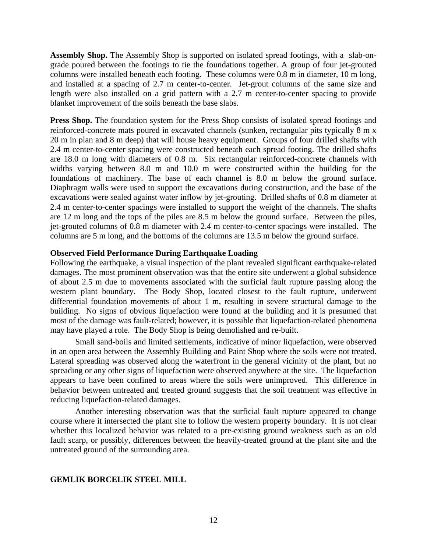**Assembly Shop.** The Assembly Shop is supported on isolated spread footings, with a slab-ongrade poured between the footings to tie the foundations together. A group of four jet-grouted columns were installed beneath each footing. These columns were 0.8 m in diameter, 10 m long, and installed at a spacing of 2.7 m center-to-center. Jet-grout columns of the same size and length were also installed on a grid pattern with a 2.7 m center-to-center spacing to provide blanket improvement of the soils beneath the base slabs.

**Press Shop.** The foundation system for the Press Shop consists of isolated spread footings and reinforced-concrete mats poured in excavated channels (sunken, rectangular pits typically 8 m x 20 m in plan and 8 m deep) that will house heavy equipment. Groups of four drilled shafts with 2.4 m center-to-center spacing were constructed beneath each spread footing. The drilled shafts are 18.0 m long with diameters of 0.8 m. Six rectangular reinforced-concrete channels with widths varying between 8.0 m and 10.0 m were constructed within the building for the foundations of machinery. The base of each channel is 8.0 m below the ground surface. Diaphragm walls were used to support the excavations during construction, and the base of the excavations were sealed against water inflow by jet-grouting. Drilled shafts of 0.8 m diameter at 2.4 m center-to-center spacings were installed to support the weight of the channels. The shafts are 12 m long and the tops of the piles are 8.5 m below the ground surface. Between the piles, jet-grouted columns of 0.8 m diameter with 2.4 m center-to-center spacings were installed. The columns are 5 m long, and the bottoms of the columns are 13.5 m below the ground surface.

### **Observed Field Performance During Earthquake Loading**

Following the earthquake, a visual inspection of the plant revealed significant earthquake-related damages. The most prominent observation was that the entire site underwent a global subsidence of about 2.5 m due to movements associated with the surficial fault rupture passing along the western plant boundary. The Body Shop, located closest to the fault rupture, underwent differential foundation movements of about 1 m, resulting in severe structural damage to the building. No signs of obvious liquefaction were found at the building and it is presumed that most of the damage was fault-related; however, it is possible that liquefaction-related phenomena may have played a role. The Body Shop is being demolished and re-built.

Small sand-boils and limited settlements, indicative of minor liquefaction, were observed in an open area between the Assembly Building and Paint Shop where the soils were not treated. Lateral spreading was observed along the waterfront in the general vicinity of the plant, but no spreading or any other signs of liquefaction were observed anywhere at the site. The liquefaction appears to have been confined to areas where the soils were unimproved. This difference in behavior between untreated and treated ground suggests that the soil treatment was effective in reducing liquefaction-related damages.

Another interesting observation was that the surficial fault rupture appeared to change course where it intersected the plant site to follow the western property boundary. It is not clear whether this localized behavior was related to a pre-existing ground weakness such as an old fault scarp, or possibly, differences between the heavily-treated ground at the plant site and the untreated ground of the surrounding area.

# **GEMLIK BORCELIK STEEL MILL**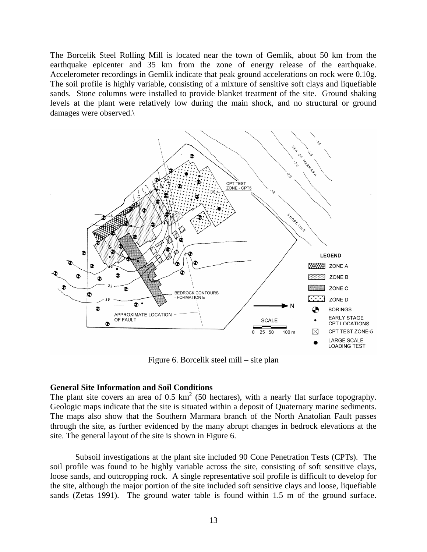The Borcelik Steel Rolling Mill is located near the town of Gemlik, about 50 km from the earthquake epicenter and 35 km from the zone of energy release of the earthquake. Accelerometer recordings in Gemlik indicate that peak ground accelerations on rock were 0.10g. The soil profile is highly variable, consisting of a mixture of sensitive soft clays and liquefiable sands. Stone columns were installed to provide blanket treatment of the site. Ground shaking levels at the plant were relatively low during the main shock, and no structural or ground damages were observed.\



Figure 6. Borcelik steel mill – site plan

#### **General Site Information and Soil Conditions**

The plant site covers an area of 0.5  $km^2$  (50 hectares), with a nearly flat surface topography. Geologic maps indicate that the site is situated within a deposit of Quaternary marine sediments. The maps also show that the Southern Marmara branch of the North Anatolian Fault passes through the site, as further evidenced by the many abrupt changes in bedrock elevations at the site. The general layout of the site is shown in Figure 6.

Subsoil investigations at the plant site included 90 Cone Penetration Tests (CPTs). The soil profile was found to be highly variable across the site, consisting of soft sensitive clays, loose sands, and outcropping rock. A single representative soil profile is difficult to develop for the site, although the major portion of the site included soft sensitive clays and loose, liquefiable sands (Zetas 1991). The ground water table is found within 1.5 m of the ground surface.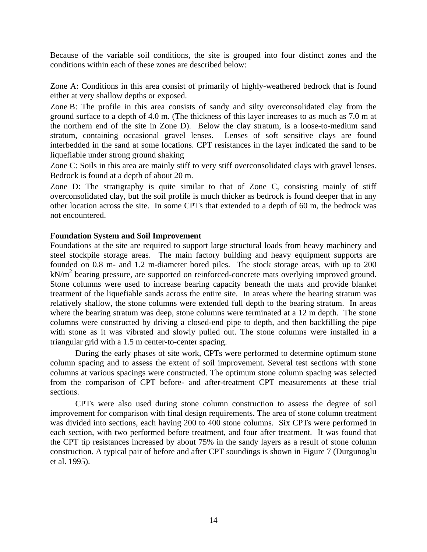Because of the variable soil conditions, the site is grouped into four distinct zones and the conditions within each of these zones are described below:

Zone A: Conditions in this area consist of primarily of highly-weathered bedrock that is found either at very shallow depths or exposed.

Zone B: The profile in this area consists of sandy and silty overconsolidated clay from the ground surface to a depth of 4.0 m. (The thickness of this layer increases to as much as 7.0 m at the northern end of the site in Zone D). Below the clay stratum, is a loose-to-medium sand stratum, containing occasional gravel lenses. Lenses of soft sensitive clays are found interbedded in the sand at some locations. CPT resistances in the layer indicated the sand to be liquefiable under strong ground shaking

Zone C: Soils in this area are mainly stiff to very stiff overconsolidated clays with gravel lenses. Bedrock is found at a depth of about 20 m.

Zone D: The stratigraphy is quite similar to that of Zone C, consisting mainly of stiff overconsolidated clay, but the soil profile is much thicker as bedrock is found deeper that in any other location across the site. In some CPTs that extended to a depth of 60 m, the bedrock was not encountered.

### **Foundation System and Soil Improvement**

Foundations at the site are required to support large structural loads from heavy machinery and steel stockpile storage areas. The main factory building and heavy equipment supports are founded on 0.8 m- and 1.2 m-diameter bored piles. The stock storage areas, with up to 200 kN/m<sup>2</sup> bearing pressure, are supported on reinforced-concrete mats overlying improved ground. Stone columns were used to increase bearing capacity beneath the mats and provide blanket treatment of the liquefiable sands across the entire site. In areas where the bearing stratum was relatively shallow, the stone columns were extended full depth to the bearing stratum. In areas where the bearing stratum was deep, stone columns were terminated at a 12 m depth. The stone columns were constructed by driving a closed-end pipe to depth, and then backfilling the pipe with stone as it was vibrated and slowly pulled out. The stone columns were installed in a triangular grid with a 1.5 m center-to-center spacing.

During the early phases of site work, CPTs were performed to determine optimum stone column spacing and to assess the extent of soil improvement. Several test sections with stone columns at various spacings were constructed. The optimum stone column spacing was selected from the comparison of CPT before- and after-treatment CPT measurements at these trial sections.

CPTs were also used during stone column construction to assess the degree of soil improvement for comparison with final design requirements. The area of stone column treatment was divided into sections, each having 200 to 400 stone columns. Six CPTs were performed in each section, with two performed before treatment, and four after treatment. It was found that the CPT tip resistances increased by about 75% in the sandy layers as a result of stone column construction. A typical pair of before and after CPT soundings is shown in Figure 7 (Durgunoglu et al. 1995).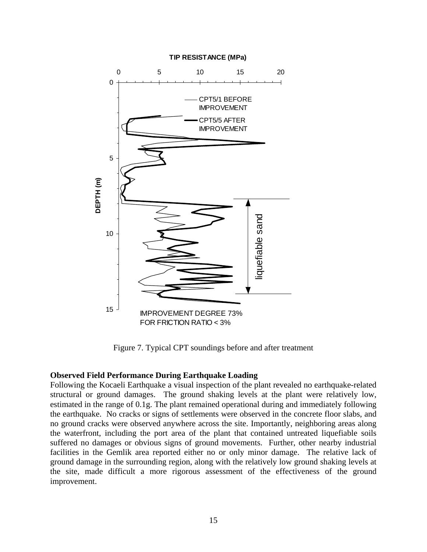

Figure 7. Typical CPT soundings before and after treatment

# **Observed Field Performance During Earthquake Loading**

Following the Kocaeli Earthquake a visual inspection of the plant revealed no earthquake-related structural or ground damages. The ground shaking levels at the plant were relatively low, estimated in the range of 0.1g. The plant remained operational during and immediately following the earthquake. No cracks or signs of settlements were observed in the concrete floor slabs, and no ground cracks were observed anywhere across the site. Importantly, neighboring areas along the waterfront, including the port area of the plant that contained untreated liquefiable soils suffered no damages or obvious signs of ground movements. Further, other nearby industrial facilities in the Gemlik area reported either no or only minor damage. The relative lack of ground damage in the surrounding region, along with the relatively low ground shaking levels at the site, made difficult a more rigorous assessment of the effectiveness of the ground improvement.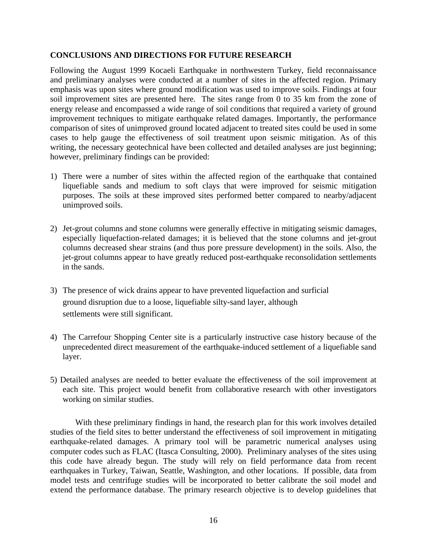# **CONCLUSIONS AND DIRECTIONS FOR FUTURE RESEARCH**

Following the August 1999 Kocaeli Earthquake in northwestern Turkey, field reconnaissance and preliminary analyses were conducted at a number of sites in the affected region. Primary emphasis was upon sites where ground modification was used to improve soils. Findings at four soil improvement sites are presented here. The sites range from 0 to 35 km from the zone of energy release and encompassed a wide range of soil conditions that required a variety of ground improvement techniques to mitigate earthquake related damages. Importantly, the performance comparison of sites of unimproved ground located adjacent to treated sites could be used in some cases to help gauge the effectiveness of soil treatment upon seismic mitigation. As of this writing, the necessary geotechnical have been collected and detailed analyses are just beginning; however, preliminary findings can be provided:

- 1) There were a number of sites within the affected region of the earthquake that contained liquefiable sands and medium to soft clays that were improved for seismic mitigation purposes. The soils at these improved sites performed better compared to nearby/adjacent unimproved soils.
- 2) Jet-grout columns and stone columns were generally effective in mitigating seismic damages, especially liquefaction-related damages; it is believed that the stone columns and jet-grout columns decreased shear strains (and thus pore pressure development) in the soils. Also, the jet-grout columns appear to have greatly reduced post-earthquake reconsolidation settlements in the sands.
- 3) The presence of wick drains appear to have prevented liquefaction and surficial ground disruption due to a loose, liquefiable silty-sand layer, although settlements were still significant.
- 4) The Carrefour Shopping Center site is a particularly instructive case history because of the unprecedented direct measurement of the earthquake-induced settlement of a liquefiable sand layer.
- 5) Detailed analyses are needed to better evaluate the effectiveness of the soil improvement at each site. This project would benefit from collaborative research with other investigators working on similar studies.

With these preliminary findings in hand, the research plan for this work involves detailed studies of the field sites to better understand the effectiveness of soil improvement in mitigating earthquake-related damages. A primary tool will be parametric numerical analyses using computer codes such as FLAC (Itasca Consulting, 2000). Preliminary analyses of the sites using this code have already begun. The study will rely on field performance data from recent earthquakes in Turkey, Taiwan, Seattle, Washington, and other locations. If possible, data from model tests and centrifuge studies will be incorporated to better calibrate the soil model and extend the performance database. The primary research objective is to develop guidelines that